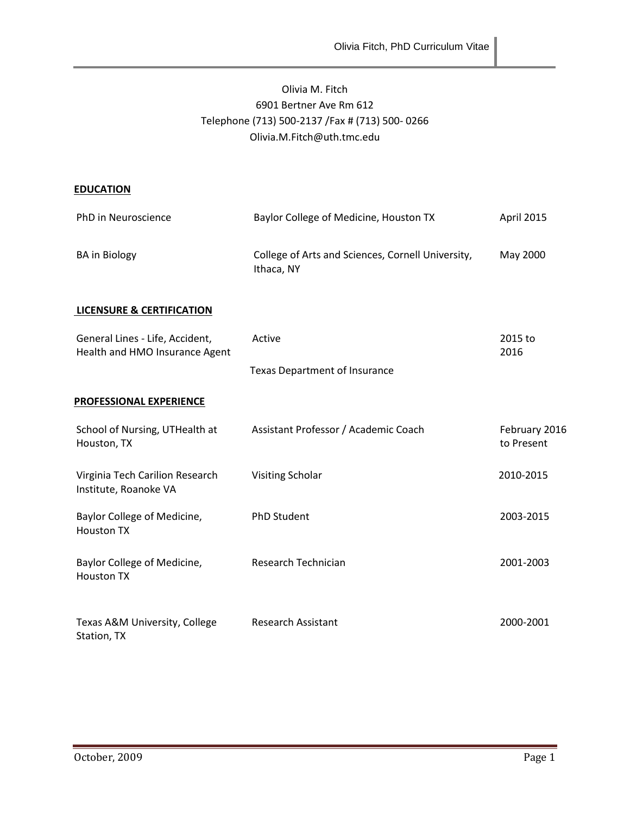# Olivia M. Fitch 6901 Bertner Ave Rm 612 Telephone (713) 500-2137 /Fax # (713) 500- 0266 Olivia.M.Fitch@uth.tmc.edu

# **EDUCATION**

| PhD in Neuroscience                                               | Baylor College of Medicine, Houston TX                          | April 2015                  |
|-------------------------------------------------------------------|-----------------------------------------------------------------|-----------------------------|
| <b>BA</b> in Biology                                              | College of Arts and Sciences, Cornell University,<br>Ithaca, NY | May 2000                    |
| <b>LICENSURE &amp; CERTIFICATION</b>                              |                                                                 |                             |
| General Lines - Life, Accident,<br>Health and HMO Insurance Agent | Active                                                          | 2015 to<br>2016             |
|                                                                   | <b>Texas Department of Insurance</b>                            |                             |
| PROFESSIONAL EXPERIENCE                                           |                                                                 |                             |
| School of Nursing, UTHealth at<br>Houston, TX                     | Assistant Professor / Academic Coach                            | February 2016<br>to Present |
| Virginia Tech Carilion Research<br>Institute, Roanoke VA          | Visiting Scholar                                                | 2010-2015                   |
| Baylor College of Medicine,<br><b>Houston TX</b>                  | <b>PhD Student</b>                                              | 2003-2015                   |
| Baylor College of Medicine,<br><b>Houston TX</b>                  | Research Technician                                             | 2001-2003                   |
| Texas A&M University, College<br>Station, TX                      | <b>Research Assistant</b>                                       | 2000-2001                   |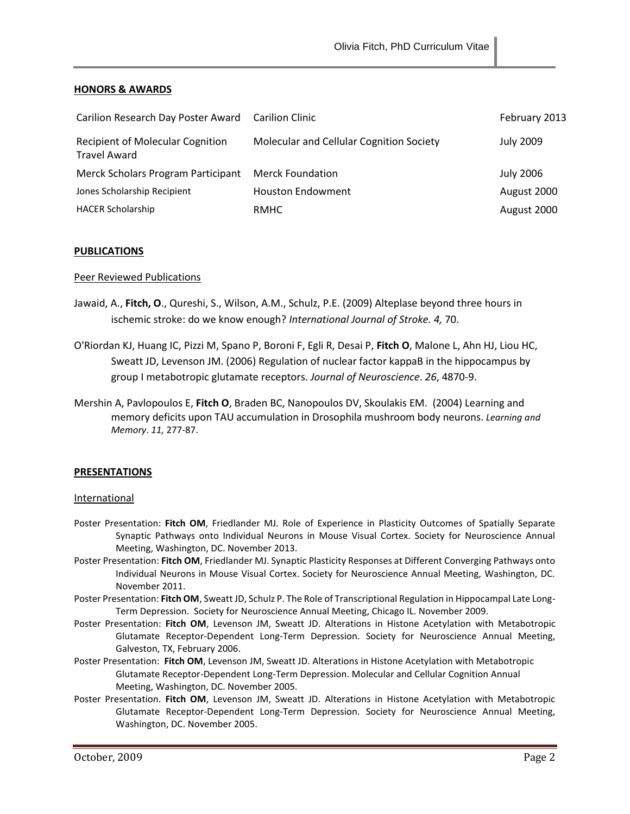## **HONORS & AWARDS**

| Carilion Research Day Poster Award Carilion Clinic             |                                          | February 2013    |
|----------------------------------------------------------------|------------------------------------------|------------------|
| <b>Recipient of Molecular Cognition</b><br><b>Travel Award</b> | Molecular and Cellular Cognition Society | <b>July 2009</b> |
| Merck Scholars Program Participant                             | <b>Merck Foundation</b>                  | <b>July 2006</b> |
| Jones Scholarship Recipient                                    | <b>Houston Endowment</b>                 | August 2000      |
| <b>HACER Scholarship</b>                                       | RMHC                                     | August 2000      |

### **PUBLICATIONS**

#### Peer Reviewed Publications

- Jawaid, A., **Fitch, O**., Qureshi, S., Wilson, A.M., Schulz, P.E. (2009) Alteplase beyond three hours in ischemic stroke: do we know enough? *International Journal of Stroke. 4,* 70.
- O'Riordan KJ, Huang IC, Pizzi M, Spano P, Boroni F, Egli R, Desai P, **Fitch O**, Malone L, Ahn HJ, Liou HC, Sweatt JD, Levenson JM. (2006) Regulation of nuclear factor kappaB in the hippocampus by group I metabotropic glutamate receptors. *Journal of Neuroscience*. *26*, 4870-9.
- Mershin A, Pavlopoulos E, **Fitch O**, Braden BC, Nanopoulos DV, Skoulakis EM. (2004) Learning and memory deficits upon TAU accumulation in Drosophila mushroom body neurons. *Learning and Memory*. *11,* 277-87.

### **PRESENTATIONS**

#### International

- Poster Presentation: **Fitch OM**, Friedlander MJ. Role of Experience in Plasticity Outcomes of Spatially Separate Synaptic Pathways onto Individual Neurons in Mouse Visual Cortex. Society for Neuroscience Annual Meeting, Washington, DC. November 2013.
- Poster Presentation: **Fitch OM**, Friedlander MJ. Synaptic Plasticity Responses at Different Converging Pathways onto Individual Neurons in Mouse Visual Cortex. Society for Neuroscience Annual Meeting, Washington, DC. November 2011.
- Poster Presentation: **Fitch OM**, Sweatt JD, Schulz P. The Role of Transcriptional Regulation in Hippocampal Late Long-Term Depression. Society for Neuroscience Annual Meeting, Chicago IL. November 2009.
- Poster Presentation: **Fitch OM**, Levenson JM, Sweatt JD. Alterations in Histone Acetylation with Metabotropic Glutamate Receptor-Dependent Long-Term Depression. Society for Neuroscience Annual Meeting, Galveston, TX, February 2006.
- Poster Presentation: **Fitch OM**, Levenson JM, Sweatt JD. Alterations in Histone Acetylation with Metabotropic Glutamate Receptor-Dependent Long-Term Depression. Molecular and Cellular Cognition Annual Meeting, Washington, DC. November 2005.
- Poster Presentation. **Fitch OM**, Levenson JM, Sweatt JD. Alterations in Histone Acetylation with Metabotropic Glutamate Receptor-Dependent Long-Term Depression. Society for Neuroscience Annual Meeting, Washington, DC. November 2005.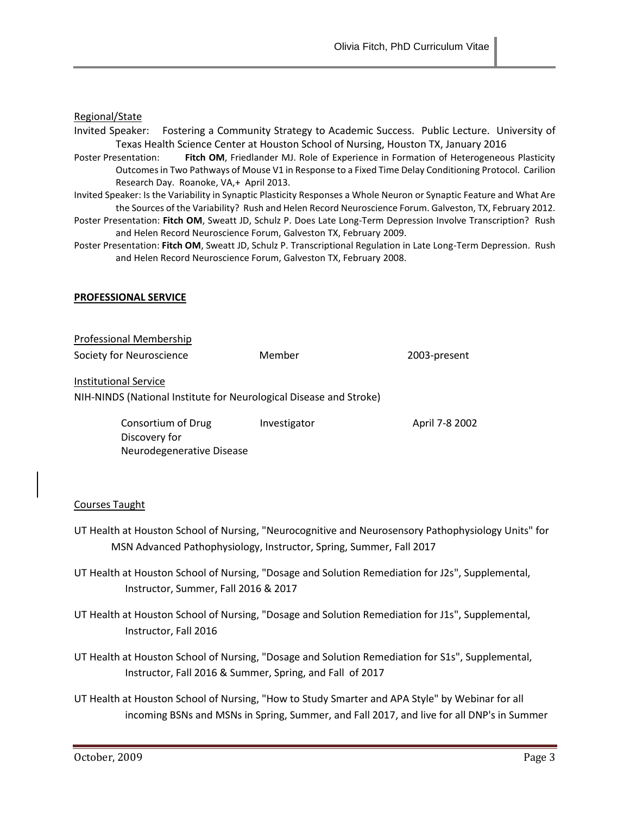# Regional/State

- Invited Speaker: Fostering a Community Strategy to Academic Success. Public Lecture. University of Texas Health Science Center at Houston School of Nursing, Houston TX, January 2016
- Poster Presentation: **Fitch OM**, Friedlander MJ. Role of Experience in Formation of Heterogeneous Plasticity Outcomes in Two Pathways of Mouse V1 in Response to a Fixed Time Delay Conditioning Protocol. Carilion Research Day. Roanoke, VA,+ April 2013.
- Invited Speaker: Is the Variability in Synaptic Plasticity Responses a Whole Neuron or Synaptic Feature and What Are the Sources of the Variability? Rush and Helen Record Neuroscience Forum. Galveston, TX, February 2012.
- Poster Presentation: **Fitch OM**, Sweatt JD, Schulz P. Does Late Long-Term Depression Involve Transcription? Rush and Helen Record Neuroscience Forum, Galveston TX, February 2009.
- Poster Presentation: **Fitch OM**, Sweatt JD, Schulz P. Transcriptional Regulation in Late Long-Term Depression. Rush and Helen Record Neuroscience Forum, Galveston TX, February 2008.

## **PROFESSIONAL SERVICE**

Neurodegenerative Disease

Professional Membership Society for Neuroscience Member 2003-present Institutional Service NIH-NINDS (National Institute for Neurological Disease and Stroke) Consortium of Drug Discovery for Investigator April 7-8 2002

# Courses Taught

- UT Health at Houston School of Nursing, "Neurocognitive and Neurosensory Pathophysiology Units" for MSN Advanced Pathophysiology, Instructor, Spring, Summer, Fall 2017
- UT Health at Houston School of Nursing, "Dosage and Solution Remediation for J2s", Supplemental, Instructor, Summer, Fall 2016 & 2017
- UT Health at Houston School of Nursing, "Dosage and Solution Remediation for J1s", Supplemental, Instructor, Fall 2016
- UT Health at Houston School of Nursing, "Dosage and Solution Remediation for S1s", Supplemental, Instructor, Fall 2016 & Summer, Spring, and Fall of 2017
- UT Health at Houston School of Nursing, "How to Study Smarter and APA Style" by Webinar for all incoming BSNs and MSNs in Spring, Summer, and Fall 2017, and live for all DNP's in Summer